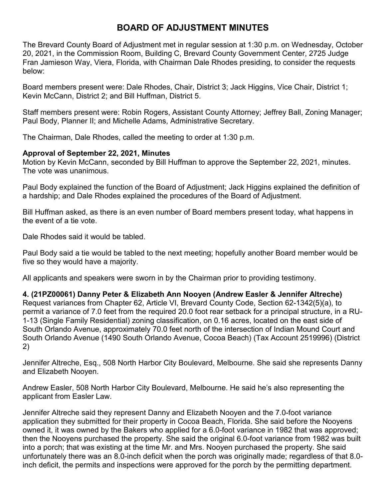# **BOARD OF ADJUSTMENT MINUTES**

The Brevard County Board of Adjustment met in regular session at 1:30 p.m. on Wednesday, October 20, 2021, in the Commission Room, Building C, Brevard County Government Center, 2725 Judge Fran Jamieson Way, Viera, Florida, with Chairman Dale Rhodes presiding, to consider the requests below:

Board members present were: Dale Rhodes, Chair, District 3; Jack Higgins, Vice Chair, District 1; Kevin McCann, District 2; and Bill Huffman, District 5.

Staff members present were: Robin Rogers, Assistant County Attorney; Jeffrey Ball, Zoning Manager; Paul Body, Planner II; and Michelle Adams, Administrative Secretary.

The Chairman, Dale Rhodes, called the meeting to order at 1:30 p.m.

#### **Approval of September 22, 2021, Minutes**

Motion by Kevin McCann, seconded by Bill Huffman to approve the September 22, 2021, minutes. The vote was unanimous.

Paul Body explained the function of the Board of Adjustment; Jack Higgins explained the definition of a hardship; and Dale Rhodes explained the procedures of the Board of Adjustment.

Bill Huffman asked, as there is an even number of Board members present today, what happens in the event of a tie vote.

Dale Rhodes said it would be tabled.

Paul Body said a tie would be tabled to the next meeting; hopefully another Board member would be five so they would have a majority.

All applicants and speakers were sworn in by the Chairman prior to providing testimony.

**4. (21PZ00061) Danny Peter & Elizabeth Ann Nooyen (Andrew Easler & Jennifer Altreche)** Request variances from Chapter 62, Article VI, Brevard County Code, Section 62-1342(5)(a), to permit a variance of 7.0 feet from the required 20.0 foot rear setback for a principal structure, in a RU-1-13 (Single Family Residential) zoning classification, on 0.16 acres, located on the east side of South Orlando Avenue, approximately 70.0 feet north of the intersection of Indian Mound Court and South Orlando Avenue (1490 South Orlando Avenue, Cocoa Beach) (Tax Account 2519996) (District 2)

Jennifer Altreche, Esq., 508 North Harbor City Boulevard, Melbourne. She said she represents Danny and Elizabeth Nooyen.

Andrew Easler, 508 North Harbor City Boulevard, Melbourne. He said he's also representing the applicant from Easler Law.

Jennifer Altreche said they represent Danny and Elizabeth Nooyen and the 7.0-foot variance application they submitted for their property in Cocoa Beach, Florida. She said before the Nooyens owned it, it was owned by the Bakers who applied for a 6.0-foot variance in 1982 that was approved; then the Nooyens purchased the property. She said the original 6.0-foot variance from 1982 was built into a porch; that was existing at the time Mr. and Mrs. Nooyen purchased the property. She said unfortunately there was an 8.0-inch deficit when the porch was originally made; regardless of that 8.0 inch deficit, the permits and inspections were approved for the porch by the permitting department.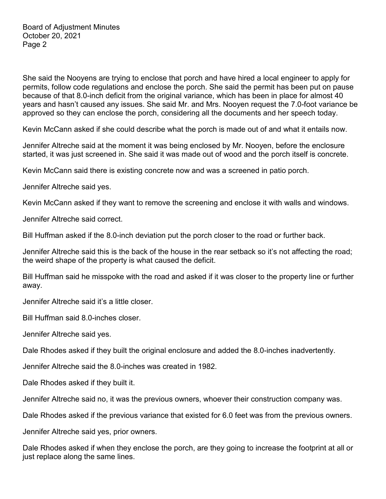She said the Nooyens are trying to enclose that porch and have hired a local engineer to apply for permits, follow code regulations and enclose the porch. She said the permit has been put on pause because of that 8.0-inch deficit from the original variance, which has been in place for almost 40 years and hasn't caused any issues. She said Mr. and Mrs. Nooyen request the 7.0-foot variance be approved so they can enclose the porch, considering all the documents and her speech today.

Kevin McCann asked if she could describe what the porch is made out of and what it entails now.

Jennifer Altreche said at the moment it was being enclosed by Mr. Nooyen, before the enclosure started, it was just screened in. She said it was made out of wood and the porch itself is concrete.

Kevin McCann said there is existing concrete now and was a screened in patio porch.

Jennifer Altreche said yes.

Kevin McCann asked if they want to remove the screening and enclose it with walls and windows.

Jennifer Altreche said correct.

Bill Huffman asked if the 8.0-inch deviation put the porch closer to the road or further back.

Jennifer Altreche said this is the back of the house in the rear setback so it's not affecting the road; the weird shape of the property is what caused the deficit.

Bill Huffman said he misspoke with the road and asked if it was closer to the property line or further away.

Jennifer Altreche said it's a little closer.

Bill Huffman said 8.0-inches closer.

Jennifer Altreche said yes.

Dale Rhodes asked if they built the original enclosure and added the 8.0-inches inadvertently.

Jennifer Altreche said the 8.0-inches was created in 1982.

Dale Rhodes asked if they built it.

Jennifer Altreche said no, it was the previous owners, whoever their construction company was.

Dale Rhodes asked if the previous variance that existed for 6.0 feet was from the previous owners.

Jennifer Altreche said yes, prior owners.

Dale Rhodes asked if when they enclose the porch, are they going to increase the footprint at all or just replace along the same lines.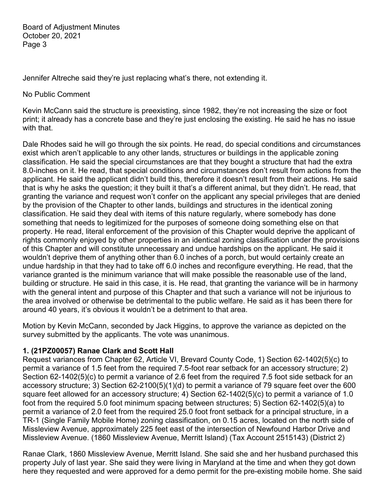Jennifer Altreche said they're just replacing what's there, not extending it.

#### No Public Comment

Kevin McCann said the structure is preexisting, since 1982, they're not increasing the size or foot print; it already has a concrete base and they're just enclosing the existing. He said he has no issue with that.

Dale Rhodes said he will go through the six points. He read, do special conditions and circumstances exist which aren't applicable to any other lands, structures or buildings in the applicable zoning classification. He said the special circumstances are that they bought a structure that had the extra 8.0-inches on it. He read, that special conditions and circumstances don't result from actions from the applicant. He said the applicant didn't build this, therefore it doesn't result from their actions. He said that is why he asks the question; it they built it that's a different animal, but they didn't. He read, that granting the variance and request won't confer on the applicant any special privileges that are denied by the provision of the Chapter to other lands, buildings and structures in the identical zoning classification. He said they deal with items of this nature regularly, where somebody has done something that needs to legitimized for the purposes of someone doing something else on that property. He read, literal enforcement of the provision of this Chapter would deprive the applicant of rights commonly enjoyed by other properties in an identical zoning classification under the provisions of this Chapter and will constitute unnecessary and undue hardships on the applicant. He said it wouldn't deprive them of anything other than 6.0 inches of a porch, but would certainly create an undue hardship in that they had to take off 6.0 inches and reconfigure everything. He read, that the variance granted is the minimum variance that will make possible the reasonable use of the land, building or structure. He said in this case, it is. He read, that granting the variance will be in harmony with the general intent and purpose of this Chapter and that such a variance will not be injurious to the area involved or otherwise be detrimental to the public welfare. He said as it has been there for around 40 years, it's obvious it wouldn't be a detriment to that area.

Motion by Kevin McCann, seconded by Jack Higgins, to approve the variance as depicted on the survey submitted by the applicants. The vote was unanimous.

# **1. (21PZ00057) Ranae Clark and Scott Hall**

Request variances from Chapter 62, Article VI, Brevard County Code, 1) Section 62-1402(5)(c) to permit a variance of 1.5 feet from the required 7.5-foot rear setback for an accessory structure; 2) Section 62-1402(5)(c) to permit a variance of 2.6 feet from the required 7.5 foot side setback for an accessory structure; 3) Section 62-2100(5)(1)(d) to permit a variance of 79 square feet over the 600 square feet allowed for an accessory structure; 4) Section 62-1402(5)(c) to permit a variance of 1.0 foot from the required 5.0 foot minimum spacing between structures; 5) Section 62-1402(5)(a) to permit a variance of 2.0 feet from the required 25.0 foot front setback for a principal structure, in a TR-1 (Single Family Mobile Home) zoning classification, on 0.15 acres, located on the north side of Missleview Avenue, approximately 225 feet east of the intersection of Newfound Harbor Drive and Missleview Avenue. (1860 Missleview Avenue, Merritt Island) (Tax Account 2515143) (District 2)

Ranae Clark, 1860 Missleview Avenue, Merritt Island. She said she and her husband purchased this property July of last year. She said they were living in Maryland at the time and when they got down here they requested and were approved for a demo permit for the pre-existing mobile home. She said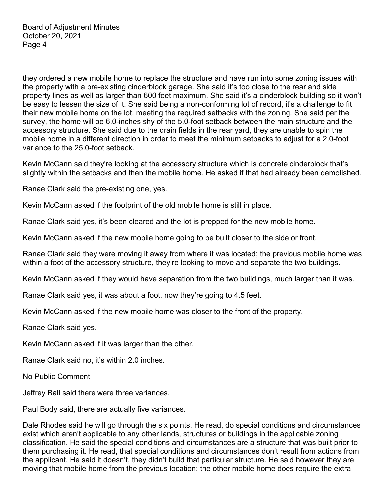they ordered a new mobile home to replace the structure and have run into some zoning issues with the property with a pre-existing cinderblock garage. She said it's too close to the rear and side property lines as well as larger than 600 feet maximum. She said it's a cinderblock building so it won't be easy to lessen the size of it. She said being a non-conforming lot of record, it's a challenge to fit their new mobile home on the lot, meeting the required setbacks with the zoning. She said per the survey, the home will be 6.0-inches shy of the 5.0-foot setback between the main structure and the accessory structure. She said due to the drain fields in the rear yard, they are unable to spin the mobile home in a different direction in order to meet the minimum setbacks to adjust for a 2.0-foot variance to the 25.0-foot setback.

Kevin McCann said they're looking at the accessory structure which is concrete cinderblock that's slightly within the setbacks and then the mobile home. He asked if that had already been demolished.

Ranae Clark said the pre-existing one, yes.

Kevin McCann asked if the footprint of the old mobile home is still in place.

Ranae Clark said yes, it's been cleared and the lot is prepped for the new mobile home.

Kevin McCann asked if the new mobile home going to be built closer to the side or front.

Ranae Clark said they were moving it away from where it was located; the previous mobile home was within a foot of the accessory structure, they're looking to move and separate the two buildings.

Kevin McCann asked if they would have separation from the two buildings, much larger than it was.

Ranae Clark said yes, it was about a foot, now they're going to 4.5 feet.

Kevin McCann asked if the new mobile home was closer to the front of the property.

Ranae Clark said yes.

Kevin McCann asked if it was larger than the other.

Ranae Clark said no, it's within 2.0 inches.

No Public Comment

Jeffrey Ball said there were three variances.

Paul Body said, there are actually five variances.

Dale Rhodes said he will go through the six points. He read, do special conditions and circumstances exist which aren't applicable to any other lands, structures or buildings in the applicable zoning classification. He said the special conditions and circumstances are a structure that was built prior to them purchasing it. He read, that special conditions and circumstances don't result from actions from the applicant. He said it doesn't, they didn't build that particular structure. He said however they are moving that mobile home from the previous location; the other mobile home does require the extra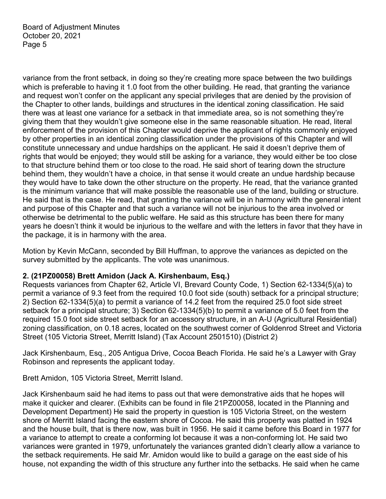variance from the front setback, in doing so they're creating more space between the two buildings which is preferable to having it 1.0 foot from the other building. He read, that granting the variance and request won't confer on the applicant any special privileges that are denied by the provision of the Chapter to other lands, buildings and structures in the identical zoning classification. He said there was at least one variance for a setback in that immediate area, so is not something they're giving them that they wouldn't give someone else in the same reasonable situation. He read, literal enforcement of the provision of this Chapter would deprive the applicant of rights commonly enjoyed by other properties in an identical zoning classification under the provisions of this Chapter and will constitute unnecessary and undue hardships on the applicant. He said it doesn't deprive them of rights that would be enjoyed; they would still be asking for a variance, they would either be too close to that structure behind them or too close to the road. He said short of tearing down the structure behind them, they wouldn't have a choice, in that sense it would create an undue hardship because they would have to take down the other structure on the property. He read, that the variance granted is the minimum variance that will make possible the reasonable use of the land, building or structure. He said that is the case. He read, that granting the variance will be in harmony with the general intent and purpose of this Chapter and that such a variance will not be injurious to the area involved or otherwise be detrimental to the public welfare. He said as this structure has been there for many years he doesn't think it would be injurious to the welfare and with the letters in favor that they have in the package, it is in harmony with the area.

Motion by Kevin McCann, seconded by Bill Huffman, to approve the variances as depicted on the survey submitted by the applicants. The vote was unanimous.

# **2. (21PZ00058) Brett Amidon (Jack A. Kirshenbaum, Esq.)**

Requests variances from Chapter 62, Article VI, Brevard County Code, 1) Section 62-1334(5)(a) to permit a variance of 9.3 feet from the required 10.0 foot side (south) setback for a principal structure; 2) Section 62-1334(5)(a) to permit a variance of 14.2 feet from the required 25.0 foot side street setback for a principal structure; 3) Section 62-1334(5)(b) to permit a variance of 5.0 feet from the required 15.0 foot side street setback for an accessory structure, in an A-U (Agricultural Residential) zoning classification, on 0.18 acres, located on the southwest corner of Goldenrod Street and Victoria Street (105 Victoria Street, Merritt Island) (Tax Account 2501510) (District 2)

Jack Kirshenbaum, Esq., 205 Antigua Drive, Cocoa Beach Florida. He said he's a Lawyer with Gray Robinson and represents the applicant today.

Brett Amidon, 105 Victoria Street, Merritt Island.

Jack Kirshenbaum said he had items to pass out that were demonstrative aids that he hopes will make it quicker and clearer. (Exhibits can be found in file 21PZ00058, located in the Planning and Development Department) He said the property in question is 105 Victoria Street, on the western shore of Merritt Island facing the eastern shore of Cocoa. He said this property was platted in 1924 and the house built, that is there now, was built in 1956. He said it came before this Board in 1977 for a variance to attempt to create a conforming lot because it was a non-conforming lot. He said two variances were granted in 1979, unfortunately the variances granted didn't clearly allow a variance to the setback requirements. He said Mr. Amidon would like to build a garage on the east side of his house, not expanding the width of this structure any further into the setbacks. He said when he came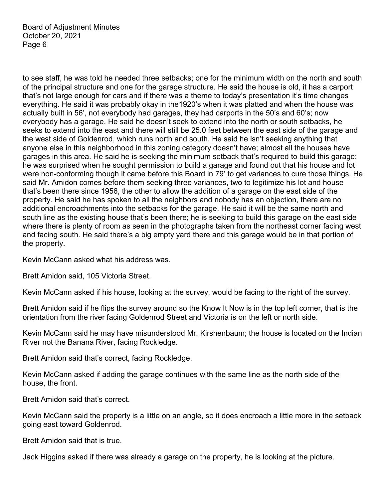to see staff, he was told he needed three setbacks; one for the minimum width on the north and south of the principal structure and one for the garage structure. He said the house is old, it has a carport that's not large enough for cars and if there was a theme to today's presentation it's time changes everything. He said it was probably okay in the1920's when it was platted and when the house was actually built in 56', not everybody had garages, they had carports in the 50's and 60's; now everybody has a garage. He said he doesn't seek to extend into the north or south setbacks, he seeks to extend into the east and there will still be 25.0 feet between the east side of the garage and the west side of Goldenrod, which runs north and south. He said he isn't seeking anything that anyone else in this neighborhood in this zoning category doesn't have; almost all the houses have garages in this area. He said he is seeking the minimum setback that's required to build this garage; he was surprised when he sought permission to build a garage and found out that his house and lot were non-conforming though it came before this Board in 79' to get variances to cure those things. He said Mr. Amidon comes before them seeking three variances, two to legitimize his lot and house that's been there since 1956, the other to allow the addition of a garage on the east side of the property. He said he has spoken to all the neighbors and nobody has an objection, there are no additional encroachments into the setbacks for the garage. He said it will be the same north and south line as the existing house that's been there; he is seeking to build this garage on the east side where there is plenty of room as seen in the photographs taken from the northeast corner facing west and facing south. He said there's a big empty yard there and this garage would be in that portion of the property.

Kevin McCann asked what his address was.

Brett Amidon said, 105 Victoria Street.

Kevin McCann asked if his house, looking at the survey, would be facing to the right of the survey.

Brett Amidon said if he flips the survey around so the Know It Now is in the top left corner, that is the orientation from the river facing Goldenrod Street and Victoria is on the left or north side.

Kevin McCann said he may have misunderstood Mr. Kirshenbaum; the house is located on the Indian River not the Banana River, facing Rockledge.

Brett Amidon said that's correct, facing Rockledge.

Kevin McCann asked if adding the garage continues with the same line as the north side of the house, the front.

Brett Amidon said that's correct.

Kevin McCann said the property is a little on an angle, so it does encroach a little more in the setback going east toward Goldenrod.

Brett Amidon said that is true.

Jack Higgins asked if there was already a garage on the property, he is looking at the picture.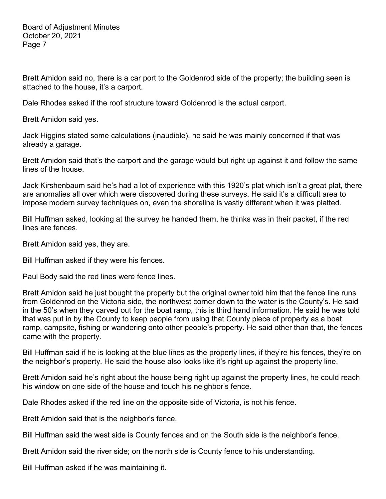Brett Amidon said no, there is a car port to the Goldenrod side of the property; the building seen is attached to the house, it's a carport.

Dale Rhodes asked if the roof structure toward Goldenrod is the actual carport.

Brett Amidon said yes.

Jack Higgins stated some calculations (inaudible), he said he was mainly concerned if that was already a garage.

Brett Amidon said that's the carport and the garage would but right up against it and follow the same lines of the house.

Jack Kirshenbaum said he's had a lot of experience with this 1920's plat which isn't a great plat, there are anomalies all over which were discovered during these surveys. He said it's a difficult area to impose modern survey techniques on, even the shoreline is vastly different when it was platted.

Bill Huffman asked, looking at the survey he handed them, he thinks was in their packet, if the red lines are fences.

Brett Amidon said yes, they are.

Bill Huffman asked if they were his fences.

Paul Body said the red lines were fence lines.

Brett Amidon said he just bought the property but the original owner told him that the fence line runs from Goldenrod on the Victoria side, the northwest corner down to the water is the County's. He said in the 50's when they carved out for the boat ramp, this is third hand information. He said he was told that was put in by the County to keep people from using that County piece of property as a boat ramp, campsite, fishing or wandering onto other people's property. He said other than that, the fences came with the property.

Bill Huffman said if he is looking at the blue lines as the property lines, if they're his fences, they're on the neighbor's property. He said the house also looks like it's right up against the property line.

Brett Amidon said he's right about the house being right up against the property lines, he could reach his window on one side of the house and touch his neighbor's fence.

Dale Rhodes asked if the red line on the opposite side of Victoria, is not his fence.

Brett Amidon said that is the neighbor's fence.

Bill Huffman said the west side is County fences and on the South side is the neighbor's fence.

Brett Amidon said the river side; on the north side is County fence to his understanding.

Bill Huffman asked if he was maintaining it.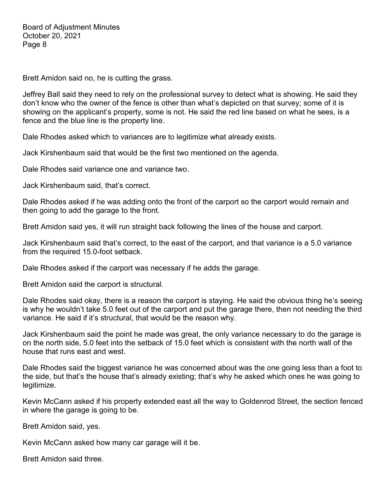Brett Amidon said no, he is cutting the grass.

Jeffrey Ball said they need to rely on the professional survey to detect what is showing. He said they don't know who the owner of the fence is other than what's depicted on that survey; some of it is showing on the applicant's property, some is not. He said the red line based on what he sees, is a fence and the blue line is the property line.

Dale Rhodes asked which to variances are to legitimize what already exists.

Jack Kirshenbaum said that would be the first two mentioned on the agenda.

Dale Rhodes said variance one and variance two.

Jack Kirshenbaum said, that's correct.

Dale Rhodes asked if he was adding onto the front of the carport so the carport would remain and then going to add the garage to the front.

Brett Amidon said yes, it will run straight back following the lines of the house and carport.

Jack Kirshenbaum said that's correct, to the east of the carport, and that variance is a 5.0 variance from the required 15.0-foot setback.

Dale Rhodes asked if the carport was necessary if he adds the garage.

Brett Amidon said the carport is structural.

Dale Rhodes said okay, there is a reason the carport is staying. He said the obvious thing he's seeing is why he wouldn't take 5.0 feet out of the carport and put the garage there, then not needing the third variance. He said if it's structural, that would be the reason why.

Jack Kirshenbaum said the point he made was great, the only variance necessary to do the garage is on the north side, 5.0 feet into the setback of 15.0 feet which is consistent with the north wall of the house that runs east and west.

Dale Rhodes said the biggest variance he was concerned about was the one going less than a foot to the side, but that's the house that's already existing; that's why he asked which ones he was going to legitimize.

Kevin McCann asked if his property extended east all the way to Goldenrod Street, the section fenced in where the garage is going to be.

Brett Amidon said, yes.

Kevin McCann asked how many car garage will it be.

Brett Amidon said three.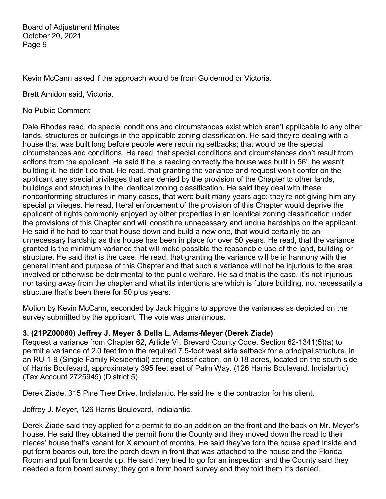Kevin McCann asked if the approach would be from Goldenrod or Victoria.

Brett Amidon said, Victoria.

No Public Comment

Dale Rhodes read, do special conditions and circumstances exist which aren't applicable to any other lands, structures or buildings in the applicable zoning classification. He said they're dealing with a house that was built long before people were requiring setbacks; that would be the special circumstances and conditions. He read, that special conditions and circumstances don't result from actions from the applicant. He said if he is reading correctly the house was built in 56', he wasn't building it, he didn't do that. He read, that granting the variance and request won't confer on the applicant any special privileges that are denied by the provision of the Chapter to other lands, buildings and structures in the identical zoning classification. He said they deal with these nonconforming structures in many cases, that were built many years ago; they're not giving him any special privileges. He read, literal enforcement of the provision of this Chapter would deprive the applicant of rights commonly enjoyed by other properties in an identical zoning classification under the provisions of this Chapter and will constitute unnecessary and undue hardships on the applicant. He said if he had to tear that house down and build a new one, that would certainly be an unnecessary hardship as this house has been in place for over 50 years. He read, that the variance granted is the minimum variance that will make possible the reasonable use of the land, building or structure. He said that is the case. He read, that granting the variance will be in harmony with the general intent and purpose of this Chapter and that such a variance will not be injurious to the area involved or otherwise be detrimental to the public welfare. He said that is the case, it's not injurious nor taking away from the chapter and what its intentions are which is future building, not necessarily a structure that's been there for 50 plus years.

Motion by Kevin McCann, seconded by Jack Higgins to approve the variances as depicted on the survey submitted by the applicant. The vote was unanimous.

#### **3. (21PZ00060) Jeffrey J. Meyer & Della L. Adams-Meyer (Derek Ziade)**

Request a variance from Chapter 62, Article VI, Brevard County Code, Section 62-1341(5)(a) to permit a variance of 2.0 feet from the required 7.5-foot west side setback for a principal structure, in an RU-1-9 (Single Family Residential) zoning classification, on 0.18 acres, located on the south side of Harris Boulevard, approximately 395 feet east of Palm Way. (126 Harris Boulevard, Indialantic) (Tax Account 2725945) (District 5)

Derek Ziade, 315 Pine Tree Drive, Indialantic. He said he is the contractor for his client.

Jeffrey J. Meyer, 126 Harris Boulevard, Indialantic.

Derek Ziade said they applied for a permit to do an addition on the front and the back on Mr. Meyer's house. He said they obtained the permit from the County and they moved down the road to their nieces' house that's vacant for X amount of months. He said they've torn the house apart inside and put form boards out, tore the porch down in front that was attached to the house and the Florida Room and put form boards up. He said they tried to go for an inspection and the County said they needed a form board survey; they got a form board survey and they told them it's denied.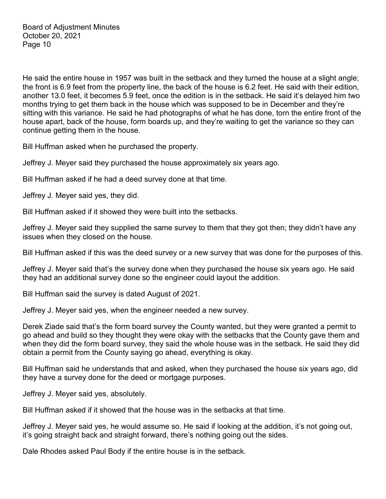He said the entire house in 1957 was built in the setback and they turned the house at a slight angle; the front is 6.9 feet from the property line, the back of the house is 6.2 feet. He said with their edition, another 13.0 feet, it becomes 5.9 feet, once the edition is in the setback. He said it's delayed him two months trying to get them back in the house which was supposed to be in December and they're sitting with this variance. He said he had photographs of what he has done, torn the entire front of the house apart, back of the house, form boards up, and they're waiting to get the variance so they can continue getting them in the house.

Bill Huffman asked when he purchased the property.

Jeffrey J. Meyer said they purchased the house approximately six years ago.

Bill Huffman asked if he had a deed survey done at that time.

Jeffrey J. Meyer said yes, they did.

Bill Huffman asked if it showed they were built into the setbacks.

Jeffrey J. Meyer said they supplied the same survey to them that they got then; they didn't have any issues when they closed on the house.

Bill Huffman asked if this was the deed survey or a new survey that was done for the purposes of this.

Jeffrey J. Meyer said that's the survey done when they purchased the house six years ago. He said they had an additional survey done so the engineer could layout the addition.

Bill Huffman said the survey is dated August of 2021.

Jeffrey J. Meyer said yes, when the engineer needed a new survey.

Derek Ziade said that's the form board survey the County wanted, but they were granted a permit to go ahead and build so they thought they were okay with the setbacks that the County gave them and when they did the form board survey, they said the whole house was in the setback. He said they did obtain a permit from the County saying go ahead, everything is okay.

Bill Huffman said he understands that and asked, when they purchased the house six years ago, did they have a survey done for the deed or mortgage purposes.

Jeffrey J. Meyer said yes, absolutely.

Bill Huffman asked if it showed that the house was in the setbacks at that time.

Jeffrey J. Meyer said yes, he would assume so. He said if looking at the addition, it's not going out, it's going straight back and straight forward, there's nothing going out the sides.

Dale Rhodes asked Paul Body if the entire house is in the setback.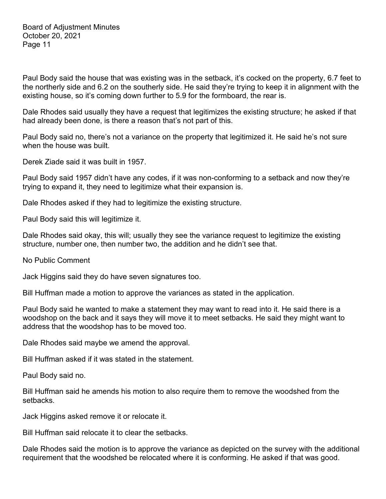Paul Body said the house that was existing was in the setback, it's cocked on the property, 6.7 feet to the northerly side and 6.2 on the southerly side. He said they're trying to keep it in alignment with the existing house, so it's coming down further to 5.9 for the formboard, the rear is.

Dale Rhodes said usually they have a request that legitimizes the existing structure; he asked if that had already been done, is there a reason that's not part of this.

Paul Body said no, there's not a variance on the property that legitimized it. He said he's not sure when the house was built.

Derek Ziade said it was built in 1957.

Paul Body said 1957 didn't have any codes, if it was non-conforming to a setback and now they're trying to expand it, they need to legitimize what their expansion is.

Dale Rhodes asked if they had to legitimize the existing structure.

Paul Body said this will legitimize it.

Dale Rhodes said okay, this will; usually they see the variance request to legitimize the existing structure, number one, then number two, the addition and he didn't see that.

No Public Comment

Jack Higgins said they do have seven signatures too.

Bill Huffman made a motion to approve the variances as stated in the application.

Paul Body said he wanted to make a statement they may want to read into it. He said there is a woodshop on the back and it says they will move it to meet setbacks. He said they might want to address that the woodshop has to be moved too.

Dale Rhodes said maybe we amend the approval.

Bill Huffman asked if it was stated in the statement.

Paul Body said no.

Bill Huffman said he amends his motion to also require them to remove the woodshed from the setbacks.

Jack Higgins asked remove it or relocate it.

Bill Huffman said relocate it to clear the setbacks.

Dale Rhodes said the motion is to approve the variance as depicted on the survey with the additional requirement that the woodshed be relocated where it is conforming. He asked if that was good.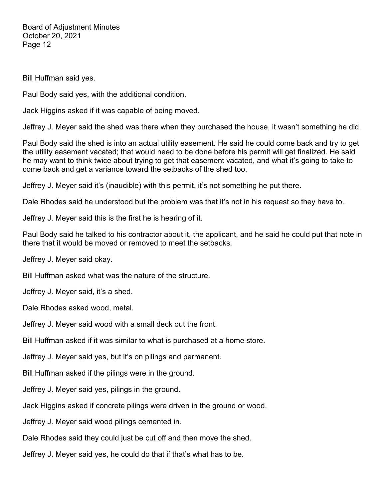Bill Huffman said yes.

Paul Body said yes, with the additional condition.

Jack Higgins asked if it was capable of being moved.

Jeffrey J. Meyer said the shed was there when they purchased the house, it wasn't something he did.

Paul Body said the shed is into an actual utility easement. He said he could come back and try to get the utility easement vacated; that would need to be done before his permit will get finalized. He said he may want to think twice about trying to get that easement vacated, and what it's going to take to come back and get a variance toward the setbacks of the shed too.

Jeffrey J. Meyer said it's (inaudible) with this permit, it's not something he put there.

Dale Rhodes said he understood but the problem was that it's not in his request so they have to.

Jeffrey J. Meyer said this is the first he is hearing of it.

Paul Body said he talked to his contractor about it, the applicant, and he said he could put that note in there that it would be moved or removed to meet the setbacks.

Jeffrey J. Meyer said okay.

Bill Huffman asked what was the nature of the structure.

Jeffrey J. Meyer said, it's a shed.

Dale Rhodes asked wood, metal.

Jeffrey J. Meyer said wood with a small deck out the front.

Bill Huffman asked if it was similar to what is purchased at a home store.

Jeffrey J. Meyer said yes, but it's on pilings and permanent.

Bill Huffman asked if the pilings were in the ground.

Jeffrey J. Meyer said yes, pilings in the ground.

Jack Higgins asked if concrete pilings were driven in the ground or wood.

Jeffrey J. Meyer said wood pilings cemented in.

Dale Rhodes said they could just be cut off and then move the shed.

Jeffrey J. Meyer said yes, he could do that if that's what has to be.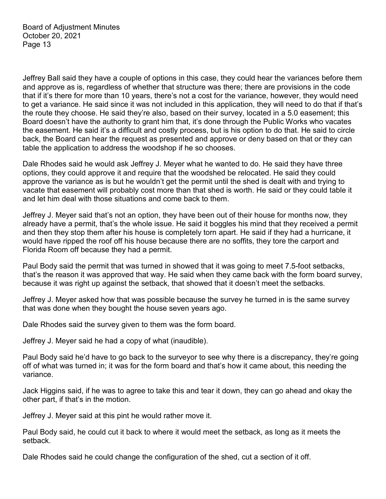Jeffrey Ball said they have a couple of options in this case, they could hear the variances before them and approve as is, regardless of whether that structure was there; there are provisions in the code that if it's there for more than 10 years, there's not a cost for the variance, however, they would need to get a variance. He said since it was not included in this application, they will need to do that if that's the route they choose. He said they're also, based on their survey, located in a 5.0 easement; this Board doesn't have the authority to grant him that, it's done through the Public Works who vacates the easement. He said it's a difficult and costly process, but is his option to do that. He said to circle back, the Board can hear the request as presented and approve or deny based on that or they can table the application to address the woodshop if he so chooses.

Dale Rhodes said he would ask Jeffrey J. Meyer what he wanted to do. He said they have three options, they could approve it and require that the woodshed be relocated. He said they could approve the variance as is but he wouldn't get the permit until the shed is dealt with and trying to vacate that easement will probably cost more than that shed is worth. He said or they could table it and let him deal with those situations and come back to them.

Jeffrey J. Meyer said that's not an option, they have been out of their house for months now, they already have a permit, that's the whole issue. He said it boggles his mind that they received a permit and then they stop them after his house is completely torn apart. He said if they had a hurricane, it would have ripped the roof off his house because there are no soffits, they tore the carport and Florida Room off because they had a permit.

Paul Body said the permit that was turned in showed that it was going to meet 7.5-foot setbacks, that's the reason it was approved that way. He said when they came back with the form board survey, because it was right up against the setback, that showed that it doesn't meet the setbacks.

Jeffrey J. Meyer asked how that was possible because the survey he turned in is the same survey that was done when they bought the house seven years ago.

Dale Rhodes said the survey given to them was the form board.

Jeffrey J. Meyer said he had a copy of what (inaudible).

Paul Body said he'd have to go back to the surveyor to see why there is a discrepancy, they're going off of what was turned in; it was for the form board and that's how it came about, this needing the variance.

Jack Higgins said, if he was to agree to take this and tear it down, they can go ahead and okay the other part, if that's in the motion.

Jeffrey J. Meyer said at this pint he would rather move it.

Paul Body said, he could cut it back to where it would meet the setback, as long as it meets the setback.

Dale Rhodes said he could change the configuration of the shed, cut a section of it off.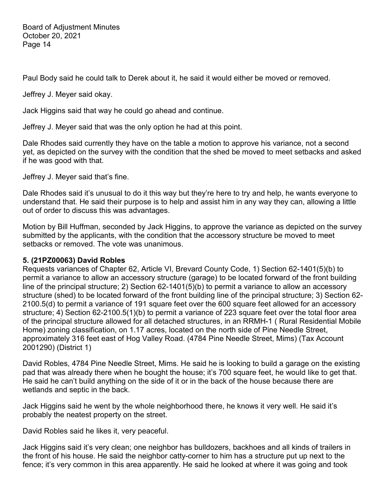Paul Body said he could talk to Derek about it, he said it would either be moved or removed.

Jeffrey J. Meyer said okay.

Jack Higgins said that way he could go ahead and continue.

Jeffrey J. Meyer said that was the only option he had at this point.

Dale Rhodes said currently they have on the table a motion to approve his variance, not a second yet, as depicted on the survey with the condition that the shed be moved to meet setbacks and asked if he was good with that.

Jeffrey J. Meyer said that's fine.

Dale Rhodes said it's unusual to do it this way but they're here to try and help, he wants everyone to understand that. He said their purpose is to help and assist him in any way they can, allowing a little out of order to discuss this was advantages.

Motion by Bill Huffman, seconded by Jack Higgins, to approve the variance as depicted on the survey submitted by the applicants, with the condition that the accessory structure be moved to meet setbacks or removed. The vote was unanimous.

# **5. (21PZ00063) David Robles**

Requests variances of Chapter 62, Article VI, Brevard County Code, 1) Section 62-1401(5)(b) to permit a variance to allow an accessory structure (garage) to be located forward of the front building line of the principal structure; 2) Section 62-1401(5)(b) to permit a variance to allow an accessory structure (shed) to be located forward of the front building line of the principal structure; 3) Section 62- 2100.5(d) to permit a variance of 191 square feet over the 600 square feet allowed for an accessory structure; 4) Section 62-2100.5(1)(b) to permit a variance of 223 square feet over the total floor area of the principal structure allowed for all detached structures, in an RRMH-1 ( Rural Residential Mobile Home) zoning classification, on 1.17 acres, located on the north side of Pine Needle Street, approximately 316 feet east of Hog Valley Road. (4784 Pine Needle Street, Mims) (Tax Account 2001290) (District 1)

David Robles, 4784 Pine Needle Street, Mims. He said he is looking to build a garage on the existing pad that was already there when he bought the house; it's 700 square feet, he would like to get that. He said he can't build anything on the side of it or in the back of the house because there are wetlands and septic in the back.

Jack Higgins said he went by the whole neighborhood there, he knows it very well. He said it's probably the neatest property on the street.

David Robles said he likes it, very peaceful.

Jack Higgins said it's very clean; one neighbor has bulldozers, backhoes and all kinds of trailers in the front of his house. He said the neighbor catty-corner to him has a structure put up next to the fence; it's very common in this area apparently. He said he looked at where it was going and took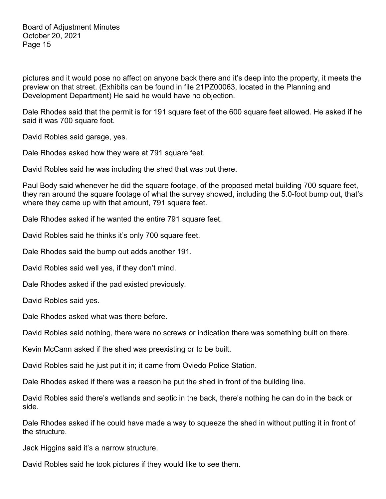pictures and it would pose no affect on anyone back there and it's deep into the property, it meets the preview on that street. (Exhibits can be found in file 21PZ00063, located in the Planning and Development Department) He said he would have no objection.

Dale Rhodes said that the permit is for 191 square feet of the 600 square feet allowed. He asked if he said it was 700 square foot.

David Robles said garage, yes.

Dale Rhodes asked how they were at 791 square feet.

David Robles said he was including the shed that was put there.

Paul Body said whenever he did the square footage, of the proposed metal building 700 square feet, they ran around the square footage of what the survey showed, including the 5.0-foot bump out, that's where they came up with that amount, 791 square feet.

Dale Rhodes asked if he wanted the entire 791 square feet.

David Robles said he thinks it's only 700 square feet.

Dale Rhodes said the bump out adds another 191.

David Robles said well yes, if they don't mind.

Dale Rhodes asked if the pad existed previously.

David Robles said yes.

Dale Rhodes asked what was there before.

David Robles said nothing, there were no screws or indication there was something built on there.

Kevin McCann asked if the shed was preexisting or to be built.

David Robles said he just put it in; it came from Oviedo Police Station.

Dale Rhodes asked if there was a reason he put the shed in front of the building line.

David Robles said there's wetlands and septic in the back, there's nothing he can do in the back or side.

Dale Rhodes asked if he could have made a way to squeeze the shed in without putting it in front of the structure.

Jack Higgins said it's a narrow structure.

David Robles said he took pictures if they would like to see them.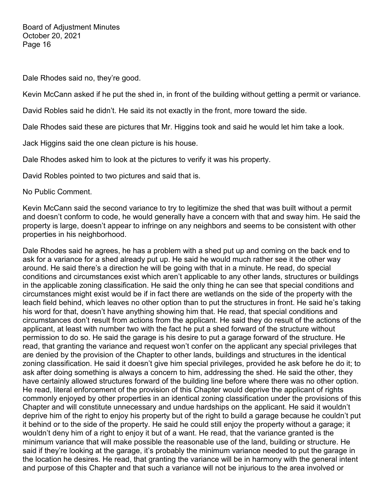Dale Rhodes said no, they're good.

Kevin McCann asked if he put the shed in, in front of the building without getting a permit or variance.

David Robles said he didn't. He said its not exactly in the front, more toward the side.

Dale Rhodes said these are pictures that Mr. Higgins took and said he would let him take a look.

Jack Higgins said the one clean picture is his house.

Dale Rhodes asked him to look at the pictures to verify it was his property.

David Robles pointed to two pictures and said that is.

No Public Comment.

Kevin McCann said the second variance to try to legitimize the shed that was built without a permit and doesn't conform to code, he would generally have a concern with that and sway him. He said the property is large, doesn't appear to infringe on any neighbors and seems to be consistent with other properties in his neighborhood.

Dale Rhodes said he agrees, he has a problem with a shed put up and coming on the back end to ask for a variance for a shed already put up. He said he would much rather see it the other way around. He said there's a direction he will be going with that in a minute. He read, do special conditions and circumstances exist which aren't applicable to any other lands, structures or buildings in the applicable zoning classification. He said the only thing he can see that special conditions and circumstances might exist would be if in fact there are wetlands on the side of the property with the leach field behind, which leaves no other option than to put the structures in front. He said he's taking his word for that, doesn't have anything showing him that. He read, that special conditions and circumstances don't result from actions from the applicant. He said they do result of the actions of the applicant, at least with number two with the fact he put a shed forward of the structure without permission to do so. He said the garage is his desire to put a garage forward of the structure. He read, that granting the variance and request won't confer on the applicant any special privileges that are denied by the provision of the Chapter to other lands, buildings and structures in the identical zoning classification. He said it doesn't give him special privileges, provided he ask before he do it; to ask after doing something is always a concern to him, addressing the shed. He said the other, they have certainly allowed structures forward of the building line before where there was no other option. He read, literal enforcement of the provision of this Chapter would deprive the applicant of rights commonly enjoyed by other properties in an identical zoning classification under the provisions of this Chapter and will constitute unnecessary and undue hardships on the applicant. He said it wouldn't deprive him of the right to enjoy his property but of the right to build a garage because he couldn't put it behind or to the side of the property. He said he could still enjoy the property without a garage; it wouldn't deny him of a right to enjoy it but of a want. He read, that the variance granted is the minimum variance that will make possible the reasonable use of the land, building or structure. He said if they're looking at the garage, it's probably the minimum variance needed to put the garage in the location he desires. He read, that granting the variance will be in harmony with the general intent and purpose of this Chapter and that such a variance will not be injurious to the area involved or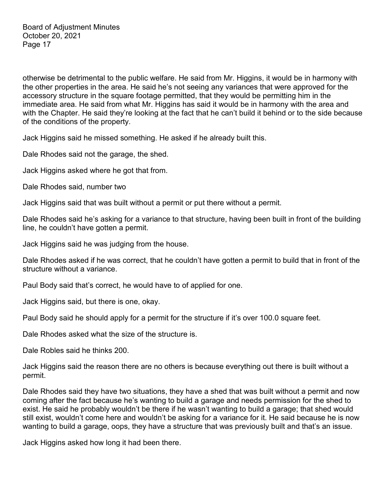otherwise be detrimental to the public welfare. He said from Mr. Higgins, it would be in harmony with the other properties in the area. He said he's not seeing any variances that were approved for the accessory structure in the square footage permitted, that they would be permitting him in the immediate area. He said from what Mr. Higgins has said it would be in harmony with the area and with the Chapter. He said they're looking at the fact that he can't build it behind or to the side because of the conditions of the property.

Jack Higgins said he missed something. He asked if he already built this.

Dale Rhodes said not the garage, the shed.

Jack Higgins asked where he got that from.

Dale Rhodes said, number two

Jack Higgins said that was built without a permit or put there without a permit.

Dale Rhodes said he's asking for a variance to that structure, having been built in front of the building line, he couldn't have gotten a permit.

Jack Higgins said he was judging from the house.

Dale Rhodes asked if he was correct, that he couldn't have gotten a permit to build that in front of the structure without a variance.

Paul Body said that's correct, he would have to of applied for one.

Jack Higgins said, but there is one, okay.

Paul Body said he should apply for a permit for the structure if it's over 100.0 square feet.

Dale Rhodes asked what the size of the structure is.

Dale Robles said he thinks 200.

Jack Higgins said the reason there are no others is because everything out there is built without a permit.

Dale Rhodes said they have two situations, they have a shed that was built without a permit and now coming after the fact because he's wanting to build a garage and needs permission for the shed to exist. He said he probably wouldn't be there if he wasn't wanting to build a garage; that shed would still exist, wouldn't come here and wouldn't be asking for a variance for it. He said because he is now wanting to build a garage, oops, they have a structure that was previously built and that's an issue.

Jack Higgins asked how long it had been there.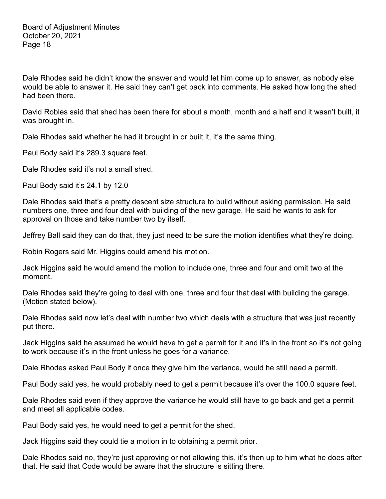Dale Rhodes said he didn't know the answer and would let him come up to answer, as nobody else would be able to answer it. He said they can't get back into comments. He asked how long the shed had been there.

David Robles said that shed has been there for about a month, month and a half and it wasn't built, it was brought in.

Dale Rhodes said whether he had it brought in or built it, it's the same thing.

Paul Body said it's 289.3 square feet.

Dale Rhodes said it's not a small shed.

Paul Body said it's 24.1 by 12.0

Dale Rhodes said that's a pretty descent size structure to build without asking permission. He said numbers one, three and four deal with building of the new garage. He said he wants to ask for approval on those and take number two by itself.

Jeffrey Ball said they can do that, they just need to be sure the motion identifies what they're doing.

Robin Rogers said Mr. Higgins could amend his motion.

Jack Higgins said he would amend the motion to include one, three and four and omit two at the moment.

Dale Rhodes said they're going to deal with one, three and four that deal with building the garage. (Motion stated below).

Dale Rhodes said now let's deal with number two which deals with a structure that was just recently put there.

Jack Higgins said he assumed he would have to get a permit for it and it's in the front so it's not going to work because it's in the front unless he goes for a variance.

Dale Rhodes asked Paul Body if once they give him the variance, would he still need a permit.

Paul Body said yes, he would probably need to get a permit because it's over the 100.0 square feet.

Dale Rhodes said even if they approve the variance he would still have to go back and get a permit and meet all applicable codes.

Paul Body said yes, he would need to get a permit for the shed.

Jack Higgins said they could tie a motion in to obtaining a permit prior.

Dale Rhodes said no, they're just approving or not allowing this, it's then up to him what he does after that. He said that Code would be aware that the structure is sitting there.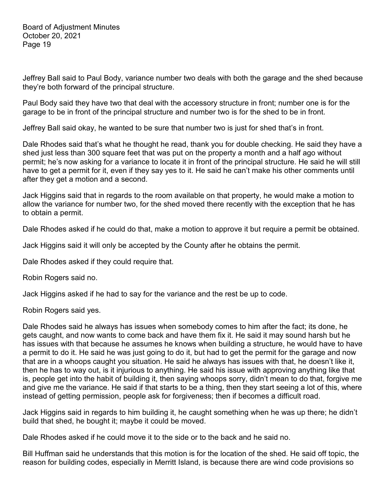Jeffrey Ball said to Paul Body, variance number two deals with both the garage and the shed because they're both forward of the principal structure.

Paul Body said they have two that deal with the accessory structure in front; number one is for the garage to be in front of the principal structure and number two is for the shed to be in front.

Jeffrey Ball said okay, he wanted to be sure that number two is just for shed that's in front.

Dale Rhodes said that's what he thought he read, thank you for double checking. He said they have a shed just less than 300 square feet that was put on the property a month and a half ago without permit; he's now asking for a variance to locate it in front of the principal structure. He said he will still have to get a permit for it, even if they say yes to it. He said he can't make his other comments until after they get a motion and a second.

Jack Higgins said that in regards to the room available on that property, he would make a motion to allow the variance for number two, for the shed moved there recently with the exception that he has to obtain a permit.

Dale Rhodes asked if he could do that, make a motion to approve it but require a permit be obtained.

Jack Higgins said it will only be accepted by the County after he obtains the permit.

Dale Rhodes asked if they could require that.

Robin Rogers said no.

Jack Higgins asked if he had to say for the variance and the rest be up to code.

Robin Rogers said yes.

Dale Rhodes said he always has issues when somebody comes to him after the fact; its done, he gets caught, and now wants to come back and have them fix it. He said it may sound harsh but he has issues with that because he assumes he knows when building a structure, he would have to have a permit to do it. He said he was just going to do it, but had to get the permit for the garage and now that are in a whoops caught you situation. He said he always has issues with that, he doesn't like it, then he has to way out, is it injurious to anything. He said his issue with approving anything like that is, people get into the habit of building it, then saying whoops sorry, didn't mean to do that, forgive me and give me the variance. He said if that starts to be a thing, then they start seeing a lot of this, where instead of getting permission, people ask for forgiveness; then if becomes a difficult road.

Jack Higgins said in regards to him building it, he caught something when he was up there; he didn't build that shed, he bought it; maybe it could be moved.

Dale Rhodes asked if he could move it to the side or to the back and he said no.

Bill Huffman said he understands that this motion is for the location of the shed. He said off topic, the reason for building codes, especially in Merritt Island, is because there are wind code provisions so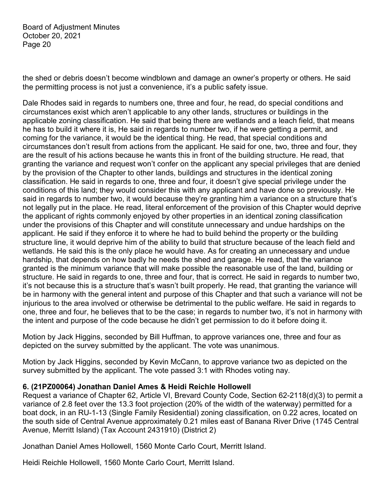the shed or debris doesn't become windblown and damage an owner's property or others. He said the permitting process is not just a convenience, it's a public safety issue.

Dale Rhodes said in regards to numbers one, three and four, he read, do special conditions and circumstances exist which aren't applicable to any other lands, structures or buildings in the applicable zoning classification. He said that being there are wetlands and a leach field, that means he has to build it where it is, He said in regards to number two, if he were getting a permit, and coming for the variance, it would be the identical thing. He read, that special conditions and circumstances don't result from actions from the applicant. He said for one, two, three and four, they are the result of his actions because he wants this in front of the building structure. He read, that granting the variance and request won't confer on the applicant any special privileges that are denied by the provision of the Chapter to other lands, buildings and structures in the identical zoning classification. He said in regards to one, three and four, it doesn't give special privilege under the conditions of this land; they would consider this with any applicant and have done so previously. He said in regards to number two, it would because they're granting him a variance on a structure that's not legally put in the place. He read, literal enforcement of the provision of this Chapter would deprive the applicant of rights commonly enjoyed by other properties in an identical zoning classification under the provisions of this Chapter and will constitute unnecessary and undue hardships on the applicant. He said if they enforce it to where he had to build behind the property or the building structure line, it would deprive him of the ability to build that structure because of the leach field and wetlands. He said this is the only place he would have. As for creating an unnecessary and undue hardship, that depends on how badly he needs the shed and garage. He read, that the variance granted is the minimum variance that will make possible the reasonable use of the land, building or structure. He said in regards to one, three and four, that is correct. He said in regards to number two, it's not because this is a structure that's wasn't built properly. He read, that granting the variance will be in harmony with the general intent and purpose of this Chapter and that such a variance will not be injurious to the area involved or otherwise be detrimental to the public welfare. He said in regards to one, three and four, he believes that to be the case; in regards to number two, it's not in harmony with the intent and purpose of the code because he didn't get permission to do it before doing it.

Motion by Jack Higgins, seconded by Bill Huffman, to approve variances one, three and four as depicted on the survey submitted by the applicant. The vote was unanimous.

Motion by Jack Higgins, seconded by Kevin McCann, to approve variance two as depicted on the survey submitted by the applicant. The vote passed 3:1 with Rhodes voting nay.

# **6. (21PZ00064) Jonathan Daniel Ames & Heidi Reichle Hollowell**

Request a variance of Chapter 62, Article VI, Brevard County Code, Section 62-2118(d)(3) to permit a variance of 2.8 feet over the 13.3 foot projection (20% of the width of the waterway) permitted for a boat dock, in an RU-1-13 (Single Family Residential) zoning classification, on 0.22 acres, located on the south side of Central Avenue approximately 0.21 miles east of Banana River Drive (1745 Central Avenue, Merritt Island) (Tax Account 2431910) (District 2)

Jonathan Daniel Ames Hollowell, 1560 Monte Carlo Court, Merritt Island.

Heidi Reichle Hollowell, 1560 Monte Carlo Court, Merritt Island.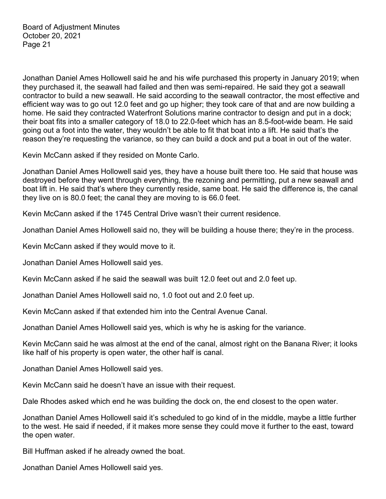Jonathan Daniel Ames Hollowell said he and his wife purchased this property in January 2019; when they purchased it, the seawall had failed and then was semi-repaired. He said they got a seawall contractor to build a new seawall. He said according to the seawall contractor, the most effective and efficient way was to go out 12.0 feet and go up higher; they took care of that and are now building a home. He said they contracted Waterfront Solutions marine contractor to design and put in a dock; their boat fits into a smaller category of 18.0 to 22.0-feet which has an 8.5-foot-wide beam. He said going out a foot into the water, they wouldn't be able to fit that boat into a lift. He said that's the reason they're requesting the variance, so they can build a dock and put a boat in out of the water.

Kevin McCann asked if they resided on Monte Carlo.

Jonathan Daniel Ames Hollowell said yes, they have a house built there too. He said that house was destroyed before they went through everything, the rezoning and permitting, put a new seawall and boat lift in. He said that's where they currently reside, same boat. He said the difference is, the canal they live on is 80.0 feet; the canal they are moving to is 66.0 feet.

Kevin McCann asked if the 1745 Central Drive wasn't their current residence.

Jonathan Daniel Ames Hollowell said no, they will be building a house there; they're in the process.

Kevin McCann asked if they would move to it.

Jonathan Daniel Ames Hollowell said yes.

Kevin McCann asked if he said the seawall was built 12.0 feet out and 2.0 feet up.

Jonathan Daniel Ames Hollowell said no, 1.0 foot out and 2.0 feet up.

Kevin McCann asked if that extended him into the Central Avenue Canal.

Jonathan Daniel Ames Hollowell said yes, which is why he is asking for the variance.

Kevin McCann said he was almost at the end of the canal, almost right on the Banana River; it looks like half of his property is open water, the other half is canal.

Jonathan Daniel Ames Hollowell said yes.

Kevin McCann said he doesn't have an issue with their request.

Dale Rhodes asked which end he was building the dock on, the end closest to the open water.

Jonathan Daniel Ames Hollowell said it's scheduled to go kind of in the middle, maybe a little further to the west. He said if needed, if it makes more sense they could move it further to the east, toward the open water.

Bill Huffman asked if he already owned the boat.

Jonathan Daniel Ames Hollowell said yes.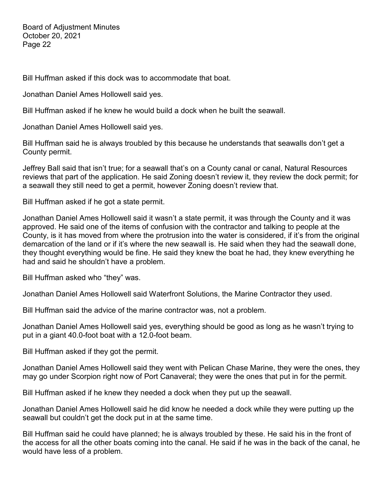Bill Huffman asked if this dock was to accommodate that boat.

Jonathan Daniel Ames Hollowell said yes.

Bill Huffman asked if he knew he would build a dock when he built the seawall.

Jonathan Daniel Ames Hollowell said yes.

Bill Huffman said he is always troubled by this because he understands that seawalls don't get a County permit.

Jeffrey Ball said that isn't true; for a seawall that's on a County canal or canal, Natural Resources reviews that part of the application. He said Zoning doesn't review it, they review the dock permit; for a seawall they still need to get a permit, however Zoning doesn't review that.

Bill Huffman asked if he got a state permit.

Jonathan Daniel Ames Hollowell said it wasn't a state permit, it was through the County and it was approved. He said one of the items of confusion with the contractor and talking to people at the County, is it has moved from where the protrusion into the water is considered, if it's from the original demarcation of the land or if it's where the new seawall is. He said when they had the seawall done, they thought everything would be fine. He said they knew the boat he had, they knew everything he had and said he shouldn't have a problem.

Bill Huffman asked who "they" was.

Jonathan Daniel Ames Hollowell said Waterfront Solutions, the Marine Contractor they used.

Bill Huffman said the advice of the marine contractor was, not a problem.

Jonathan Daniel Ames Hollowell said yes, everything should be good as long as he wasn't trying to put in a giant 40.0-foot boat with a 12.0-foot beam.

Bill Huffman asked if they got the permit.

Jonathan Daniel Ames Hollowell said they went with Pelican Chase Marine, they were the ones, they may go under Scorpion right now of Port Canaveral; they were the ones that put in for the permit.

Bill Huffman asked if he knew they needed a dock when they put up the seawall.

Jonathan Daniel Ames Hollowell said he did know he needed a dock while they were putting up the seawall but couldn't get the dock put in at the same time.

Bill Huffman said he could have planned; he is always troubled by these. He said his in the front of the access for all the other boats coming into the canal. He said if he was in the back of the canal, he would have less of a problem.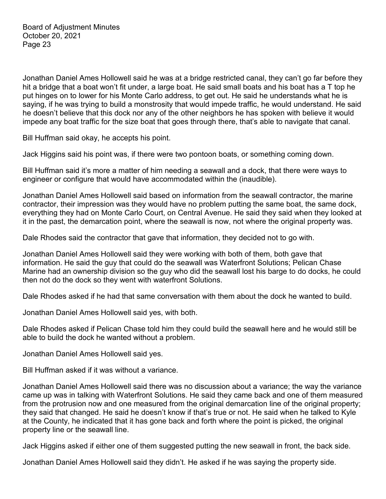Jonathan Daniel Ames Hollowell said he was at a bridge restricted canal, they can't go far before they hit a bridge that a boat won't fit under, a large boat. He said small boats and his boat has a T top he put hinges on to lower for his Monte Carlo address, to get out. He said he understands what he is saying, if he was trying to build a monstrosity that would impede traffic, he would understand. He said he doesn't believe that this dock nor any of the other neighbors he has spoken with believe it would impede any boat traffic for the size boat that goes through there, that's able to navigate that canal.

Bill Huffman said okay, he accepts his point.

Jack Higgins said his point was, if there were two pontoon boats, or something coming down.

Bill Huffman said it's more a matter of him needing a seawall and a dock, that there were ways to engineer or configure that would have accommodated within the (inaudible).

Jonathan Daniel Ames Hollowell said based on information from the seawall contractor, the marine contractor, their impression was they would have no problem putting the same boat, the same dock, everything they had on Monte Carlo Court, on Central Avenue. He said they said when they looked at it in the past, the demarcation point, where the seawall is now, not where the original property was.

Dale Rhodes said the contractor that gave that information, they decided not to go with.

Jonathan Daniel Ames Hollowell said they were working with both of them, both gave that information. He said the guy that could do the seawall was Waterfront Solutions; Pelican Chase Marine had an ownership division so the guy who did the seawall lost his barge to do docks, he could then not do the dock so they went with waterfront Solutions.

Dale Rhodes asked if he had that same conversation with them about the dock he wanted to build.

Jonathan Daniel Ames Hollowell said yes, with both.

Dale Rhodes asked if Pelican Chase told him they could build the seawall here and he would still be able to build the dock he wanted without a problem.

Jonathan Daniel Ames Hollowell said yes.

Bill Huffman asked if it was without a variance.

Jonathan Daniel Ames Hollowell said there was no discussion about a variance; the way the variance came up was in talking with Waterfront Solutions. He said they came back and one of them measured from the protrusion now and one measured from the original demarcation line of the original property; they said that changed. He said he doesn't know if that's true or not. He said when he talked to Kyle at the County, he indicated that it has gone back and forth where the point is picked, the original property line or the seawall line.

Jack Higgins asked if either one of them suggested putting the new seawall in front, the back side.

Jonathan Daniel Ames Hollowell said they didn't. He asked if he was saying the property side.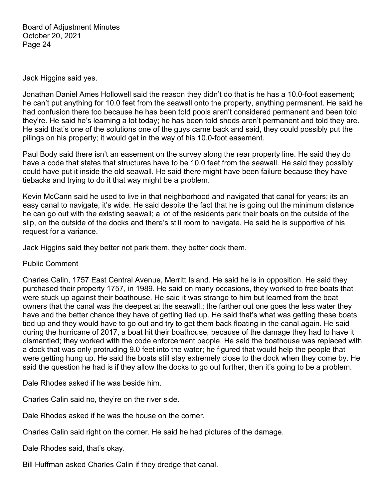Jack Higgins said yes.

Jonathan Daniel Ames Hollowell said the reason they didn't do that is he has a 10.0-foot easement; he can't put anything for 10.0 feet from the seawall onto the property, anything permanent. He said he had confusion there too because he has been told pools aren't considered permanent and been told they're. He said he's learning a lot today; he has been told sheds aren't permanent and told they are. He said that's one of the solutions one of the guys came back and said, they could possibly put the pilings on his property; it would get in the way of his 10.0-foot easement.

Paul Body said there isn't an easement on the survey along the rear property line. He said they do have a code that states that structures have to be 10.0 feet from the seawall. He said they possibly could have put it inside the old seawall. He said there might have been failure because they have tiebacks and trying to do it that way might be a problem.

Kevin McCann said he used to live in that neighborhood and navigated that canal for years; its an easy canal to navigate, it's wide. He said despite the fact that he is going out the minimum distance he can go out with the existing seawall; a lot of the residents park their boats on the outside of the slip, on the outside of the docks and there's still room to navigate. He said he is supportive of his request for a variance.

Jack Higgins said they better not park them, they better dock them.

Public Comment

Charles Calin, 1757 East Central Avenue, Merritt Island. He said he is in opposition. He said they purchased their property 1757, in 1989. He said on many occasions, they worked to free boats that were stuck up against their boathouse. He said it was strange to him but learned from the boat owners that the canal was the deepest at the seawall.; the farther out one goes the less water they have and the better chance they have of getting tied up. He said that's what was getting these boats tied up and they would have to go out and try to get them back floating in the canal again. He said during the hurricane of 2017, a boat hit their boathouse, because of the damage they had to have it dismantled; they worked with the code enforcement people. He said the boathouse was replaced with a dock that was only protruding 9.0 feet into the water; he figured that would help the people that were getting hung up. He said the boats still stay extremely close to the dock when they come by. He said the question he had is if they allow the docks to go out further, then it's going to be a problem.

Dale Rhodes asked if he was beside him.

Charles Calin said no, they're on the river side.

Dale Rhodes asked if he was the house on the corner.

Charles Calin said right on the corner. He said he had pictures of the damage.

Dale Rhodes said, that's okay.

Bill Huffman asked Charles Calin if they dredge that canal.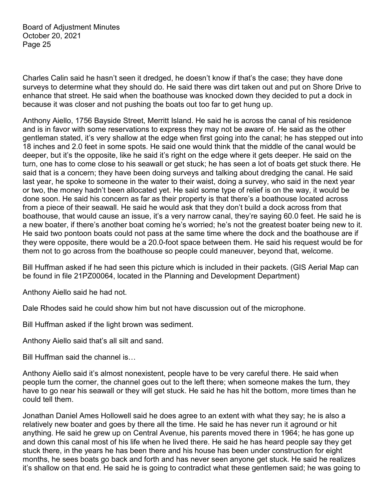Charles Calin said he hasn't seen it dredged, he doesn't know if that's the case; they have done surveys to determine what they should do. He said there was dirt taken out and put on Shore Drive to enhance that street. He said when the boathouse was knocked down they decided to put a dock in because it was closer and not pushing the boats out too far to get hung up.

Anthony Aiello, 1756 Bayside Street, Merritt Island. He said he is across the canal of his residence and is in favor with some reservations to express they may not be aware of. He said as the other gentleman stated, it's very shallow at the edge when first going into the canal; he has stepped out into 18 inches and 2.0 feet in some spots. He said one would think that the middle of the canal would be deeper, but it's the opposite, like he said it's right on the edge where it gets deeper. He said on the turn, one has to come close to his seawall or get stuck; he has seen a lot of boats get stuck there. He said that is a concern; they have been doing surveys and talking about dredging the canal. He said last year, he spoke to someone in the water to their waist, doing a survey, who said in the next year or two, the money hadn't been allocated yet. He said some type of relief is on the way, it would be done soon. He said his concern as far as their property is that there's a boathouse located across from a piece of their seawall. He said he would ask that they don't build a dock across from that boathouse, that would cause an issue, it's a very narrow canal, they're saying 60.0 feet. He said he is a new boater, if there's another boat coming he's worried; he's not the greatest boater being new to it. He said two pontoon boats could not pass at the same time where the dock and the boathouse are if they were opposite, there would be a 20.0-foot space between them. He said his request would be for them not to go across from the boathouse so people could maneuver, beyond that, welcome.

Bill Huffman asked if he had seen this picture which is included in their packets. (GIS Aerial Map can be found in file 21PZ00064, located in the Planning and Development Department)

Anthony Aiello said he had not.

Dale Rhodes said he could show him but not have discussion out of the microphone.

Bill Huffman asked if the light brown was sediment.

Anthony Aiello said that's all silt and sand.

Bill Huffman said the channel is…

Anthony Aiello said it's almost nonexistent, people have to be very careful there. He said when people turn the corner, the channel goes out to the left there; when someone makes the turn, they have to go near his seawall or they will get stuck. He said he has hit the bottom, more times than he could tell them.

Jonathan Daniel Ames Hollowell said he does agree to an extent with what they say; he is also a relatively new boater and goes by there all the time. He said he has never run it aground or hit anything. He said he grew up on Central Avenue, his parents moved there in 1964; he has gone up and down this canal most of his life when he lived there. He said he has heard people say they get stuck there, in the years he has been there and his house has been under construction for eight months, he sees boats go back and forth and has never seen anyone get stuck. He said he realizes it's shallow on that end. He said he is going to contradict what these gentlemen said; he was going to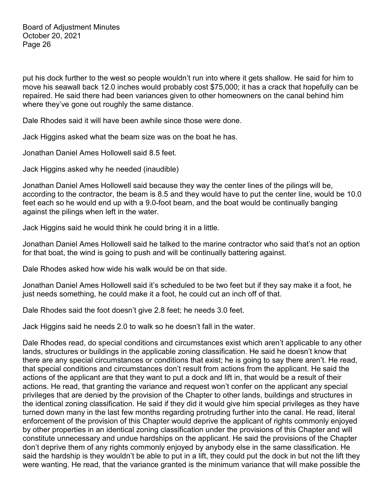put his dock further to the west so people wouldn't run into where it gets shallow. He said for him to move his seawall back 12.0 inches would probably cost \$75,000; it has a crack that hopefully can be repaired. He said there had been variances given to other homeowners on the canal behind him where they've gone out roughly the same distance.

Dale Rhodes said it will have been awhile since those were done.

Jack Higgins asked what the beam size was on the boat he has.

Jonathan Daniel Ames Hollowell said 8.5 feet.

Jack Higgins asked why he needed (inaudible)

Jonathan Daniel Ames Hollowell said because they way the center lines of the pilings will be, according to the contractor, the beam is 8.5 and they would have to put the center line, would be 10.0 feet each so he would end up with a 9.0-foot beam, and the boat would be continually banging against the pilings when left in the water.

Jack Higgins said he would think he could bring it in a little.

Jonathan Daniel Ames Hollowell said he talked to the marine contractor who said that's not an option for that boat, the wind is going to push and will be continually battering against.

Dale Rhodes asked how wide his walk would be on that side.

Jonathan Daniel Ames Hollowell said it's scheduled to be two feet but if they say make it a foot, he just needs something, he could make it a foot, he could cut an inch off of that.

Dale Rhodes said the foot doesn't give 2.8 feet; he needs 3.0 feet.

Jack Higgins said he needs 2.0 to walk so he doesn't fall in the water.

Dale Rhodes read, do special conditions and circumstances exist which aren't applicable to any other lands, structures or buildings in the applicable zoning classification. He said he doesn't know that there are any special circumstances or conditions that exist; he is going to say there aren't. He read, that special conditions and circumstances don't result from actions from the applicant. He said the actions of the applicant are that they want to put a dock and lift in, that would be a result of their actions. He read, that granting the variance and request won't confer on the applicant any special privileges that are denied by the provision of the Chapter to other lands, buildings and structures in the identical zoning classification. He said if they did it would give him special privileges as they have turned down many in the last few months regarding protruding further into the canal. He read, literal enforcement of the provision of this Chapter would deprive the applicant of rights commonly enjoyed by other properties in an identical zoning classification under the provisions of this Chapter and will constitute unnecessary and undue hardships on the applicant. He said the provisions of the Chapter don't deprive them of any rights commonly enjoyed by anybody else in the same classification. He said the hardship is they wouldn't be able to put in a lift, they could put the dock in but not the lift they were wanting. He read, that the variance granted is the minimum variance that will make possible the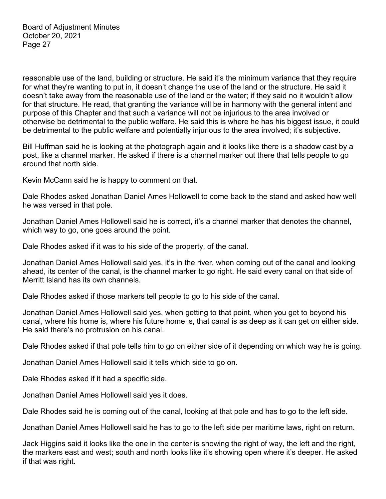reasonable use of the land, building or structure. He said it's the minimum variance that they require for what they're wanting to put in, it doesn't change the use of the land or the structure. He said it doesn't take away from the reasonable use of the land or the water; if they said no it wouldn't allow for that structure. He read, that granting the variance will be in harmony with the general intent and purpose of this Chapter and that such a variance will not be injurious to the area involved or otherwise be detrimental to the public welfare. He said this is where he has his biggest issue, it could be detrimental to the public welfare and potentially injurious to the area involved; it's subjective.

Bill Huffman said he is looking at the photograph again and it looks like there is a shadow cast by a post, like a channel marker. He asked if there is a channel marker out there that tells people to go around that north side.

Kevin McCann said he is happy to comment on that.

Dale Rhodes asked Jonathan Daniel Ames Hollowell to come back to the stand and asked how well he was versed in that pole.

Jonathan Daniel Ames Hollowell said he is correct, it's a channel marker that denotes the channel, which way to go, one goes around the point.

Dale Rhodes asked if it was to his side of the property, of the canal.

Jonathan Daniel Ames Hollowell said yes, it's in the river, when coming out of the canal and looking ahead, its center of the canal, is the channel marker to go right. He said every canal on that side of Merritt Island has its own channels.

Dale Rhodes asked if those markers tell people to go to his side of the canal.

Jonathan Daniel Ames Hollowell said yes, when getting to that point, when you get to beyond his canal, where his home is, where his future home is, that canal is as deep as it can get on either side. He said there's no protrusion on his canal.

Dale Rhodes asked if that pole tells him to go on either side of it depending on which way he is going.

Jonathan Daniel Ames Hollowell said it tells which side to go on.

Dale Rhodes asked if it had a specific side.

Jonathan Daniel Ames Hollowell said yes it does.

Dale Rhodes said he is coming out of the canal, looking at that pole and has to go to the left side.

Jonathan Daniel Ames Hollowell said he has to go to the left side per maritime laws, right on return.

Jack Higgins said it looks like the one in the center is showing the right of way, the left and the right, the markers east and west; south and north looks like it's showing open where it's deeper. He asked if that was right.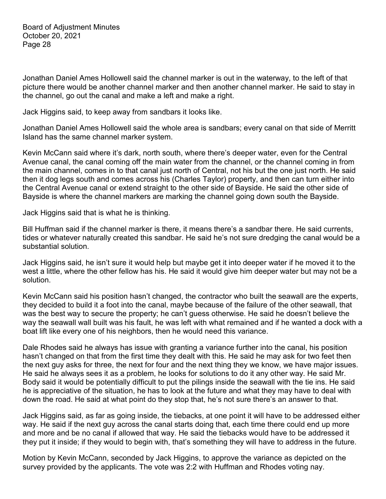Jonathan Daniel Ames Hollowell said the channel marker is out in the waterway, to the left of that picture there would be another channel marker and then another channel marker. He said to stay in the channel, go out the canal and make a left and make a right.

Jack Higgins said, to keep away from sandbars it looks like.

Jonathan Daniel Ames Hollowell said the whole area is sandbars; every canal on that side of Merritt Island has the same channel marker system.

Kevin McCann said where it's dark, north south, where there's deeper water, even for the Central Avenue canal, the canal coming off the main water from the channel, or the channel coming in from the main channel, comes in to that canal just north of Central, not his but the one just north. He said then it dog legs south and comes across his (Charles Taylor) property, and then can turn either into the Central Avenue canal or extend straight to the other side of Bayside. He said the other side of Bayside is where the channel markers are marking the channel going down south the Bayside.

Jack Higgins said that is what he is thinking.

Bill Huffman said if the channel marker is there, it means there's a sandbar there. He said currents, tides or whatever naturally created this sandbar. He said he's not sure dredging the canal would be a substantial solution.

Jack Higgins said, he isn't sure it would help but maybe get it into deeper water if he moved it to the west a little, where the other fellow has his. He said it would give him deeper water but may not be a solution.

Kevin McCann said his position hasn't changed, the contractor who built the seawall are the experts, they decided to build it a foot into the canal, maybe because of the failure of the other seawall, that was the best way to secure the property; he can't guess otherwise. He said he doesn't believe the way the seawall wall built was his fault, he was left with what remained and if he wanted a dock with a boat lift like every one of his neighbors, then he would need this variance.

Dale Rhodes said he always has issue with granting a variance further into the canal, his position hasn't changed on that from the first time they dealt with this. He said he may ask for two feet then the next guy asks for three, the next for four and the next thing they we know, we have major issues. He said he always sees it as a problem, he looks for solutions to do it any other way. He said Mr. Body said it would be potentially difficult to put the pilings inside the seawall with the tie ins. He said he is appreciative of the situation, he has to look at the future and what they may have to deal with down the road. He said at what point do they stop that, he's not sure there's an answer to that.

Jack Higgins said, as far as going inside, the tiebacks, at one point it will have to be addressed either way. He said if the next guy across the canal starts doing that, each time there could end up more and more and be no canal if allowed that way. He said the tiebacks would have to be addressed it they put it inside; if they would to begin with, that's something they will have to address in the future.

Motion by Kevin McCann, seconded by Jack Higgins, to approve the variance as depicted on the survey provided by the applicants. The vote was 2:2 with Huffman and Rhodes voting nay.